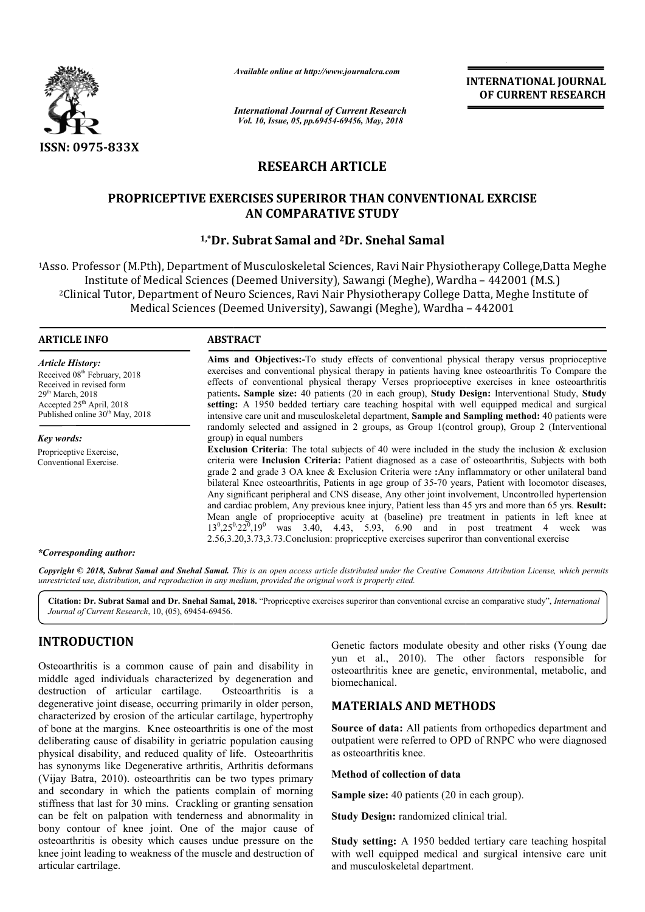

*Available online at http://www.journalcra.com*

# **RESEARCH ARTICLE**

## **PROPRICEPTIVE EXERCISES SUPERIROR THAN CONVENTIONAL EXRCISE AN COMPARATIVE STUDY**

## **1,\*Dr. Subrat Samal and Dr. 2Dr. Snehal Samal**

|                                                                                                                                                                                                                                                                                            | лтините опине игнир.//www.journaicra.com                                                                                                                                                                                                                                                                                                                                                                                                                                                                                                                                                                                                                                                                                                                                                                                                                                                                                                                                                                                                                                                                                                                                                                                                                                                                                                                                                                                                                                                                                                                                                                                                                                                    | <b>INTERNATIONAL JOURNAL</b><br>OF CURRENT RESEARCH                                                                                                                                                                                                                                                                                                                                                                        |  |  |  |  |
|--------------------------------------------------------------------------------------------------------------------------------------------------------------------------------------------------------------------------------------------------------------------------------------------|---------------------------------------------------------------------------------------------------------------------------------------------------------------------------------------------------------------------------------------------------------------------------------------------------------------------------------------------------------------------------------------------------------------------------------------------------------------------------------------------------------------------------------------------------------------------------------------------------------------------------------------------------------------------------------------------------------------------------------------------------------------------------------------------------------------------------------------------------------------------------------------------------------------------------------------------------------------------------------------------------------------------------------------------------------------------------------------------------------------------------------------------------------------------------------------------------------------------------------------------------------------------------------------------------------------------------------------------------------------------------------------------------------------------------------------------------------------------------------------------------------------------------------------------------------------------------------------------------------------------------------------------------------------------------------------------|----------------------------------------------------------------------------------------------------------------------------------------------------------------------------------------------------------------------------------------------------------------------------------------------------------------------------------------------------------------------------------------------------------------------------|--|--|--|--|
|                                                                                                                                                                                                                                                                                            | <b>International Journal of Current Research</b><br>Vol. 10, Issue, 05, pp.69454-69456, May, 2018                                                                                                                                                                                                                                                                                                                                                                                                                                                                                                                                                                                                                                                                                                                                                                                                                                                                                                                                                                                                                                                                                                                                                                                                                                                                                                                                                                                                                                                                                                                                                                                           |                                                                                                                                                                                                                                                                                                                                                                                                                            |  |  |  |  |
| <b>ISSN: 0975-833X</b>                                                                                                                                                                                                                                                                     |                                                                                                                                                                                                                                                                                                                                                                                                                                                                                                                                                                                                                                                                                                                                                                                                                                                                                                                                                                                                                                                                                                                                                                                                                                                                                                                                                                                                                                                                                                                                                                                                                                                                                             |                                                                                                                                                                                                                                                                                                                                                                                                                            |  |  |  |  |
|                                                                                                                                                                                                                                                                                            | <b>RESEARCH ARTICLE</b>                                                                                                                                                                                                                                                                                                                                                                                                                                                                                                                                                                                                                                                                                                                                                                                                                                                                                                                                                                                                                                                                                                                                                                                                                                                                                                                                                                                                                                                                                                                                                                                                                                                                     |                                                                                                                                                                                                                                                                                                                                                                                                                            |  |  |  |  |
|                                                                                                                                                                                                                                                                                            | <b>AN COMPARATIVE STUDY</b>                                                                                                                                                                                                                                                                                                                                                                                                                                                                                                                                                                                                                                                                                                                                                                                                                                                                                                                                                                                                                                                                                                                                                                                                                                                                                                                                                                                                                                                                                                                                                                                                                                                                 | <b>PROPRICEPTIVE EXERCISES SUPERIROR THAN CONVENTIONAL EXRCISE</b>                                                                                                                                                                                                                                                                                                                                                         |  |  |  |  |
|                                                                                                                                                                                                                                                                                            | <sup>1,*</sup> Dr. Subrat Samal and <sup>2</sup> Dr. Snehal Samal                                                                                                                                                                                                                                                                                                                                                                                                                                                                                                                                                                                                                                                                                                                                                                                                                                                                                                                                                                                                                                                                                                                                                                                                                                                                                                                                                                                                                                                                                                                                                                                                                           |                                                                                                                                                                                                                                                                                                                                                                                                                            |  |  |  |  |
|                                                                                                                                                                                                                                                                                            |                                                                                                                                                                                                                                                                                                                                                                                                                                                                                                                                                                                                                                                                                                                                                                                                                                                                                                                                                                                                                                                                                                                                                                                                                                                                                                                                                                                                                                                                                                                                                                                                                                                                                             | <sup>1</sup> Asso. Professor (M.Pth), Department of Musculoskeletal Sciences, Ravi Nair Physiotherapy College, Datta Meghe<br>Institute of Medical Sciences (Deemed University), Sawangi (Meghe), Wardha - 442001 (M.S.)<br><sup>2</sup> Clinical Tutor, Department of Neuro Sciences, Ravi Nair Physiotherapy College Datta, Meghe Institute of<br>Medical Sciences (Deemed University), Sawangi (Meghe), Wardha - 442001 |  |  |  |  |
| <b>ARTICLE INFO</b>                                                                                                                                                                                                                                                                        | <b>ABSTRACT</b>                                                                                                                                                                                                                                                                                                                                                                                                                                                                                                                                                                                                                                                                                                                                                                                                                                                                                                                                                                                                                                                                                                                                                                                                                                                                                                                                                                                                                                                                                                                                                                                                                                                                             |                                                                                                                                                                                                                                                                                                                                                                                                                            |  |  |  |  |
| <b>Article History:</b><br>Received 08 <sup>th</sup> February, 2018<br>Received in revised form<br>29 <sup>th</sup> March, 2018<br>Accepted 25 <sup>th</sup> April, 2018<br>Published online 30 <sup>th</sup> May, 2018<br>Key words:<br>Propriceptive Exercise,<br>Conventional Exercise. | Aims and Objectives:-To study effects of conventional physical therapy versus proprioceptive<br>exercises and conventional physical therapy in patients having knee osteoarthritis To Compare the<br>effects of conventional physical therapy Verses proprioceptive exercises in knee osteoarthritis<br>patients. Sample size: 40 patients (20 in each group), Study Design: Interventional Study, Study<br>setting: A 1950 bedded tertiary care teaching hospital with well equipped medical and surgical<br>intensive care unit and musculoskeletal department, Sample and Sampling method: 40 patients were<br>randomly selected and assigned in 2 groups, as Group 1(control group), Group 2 (Interventional<br>group) in equal numbers<br><b>Exclusion Criteria</b> : The total subjects of 40 were included in the study the inclusion $\&$ exclusion<br>criteria were Inclusion Criteria: Patient diagnosed as a case of osteoarthritis, Subjects with both<br>grade 2 and grade 3 OA knee & Exclusion Criteria were :Any inflammatory or other unilateral band<br>bilateral Knee osteoarthritis, Patients in age group of 35-70 years, Patient with locomotor diseases,<br>Any significant peripheral and CNS disease, Any other joint involvement, Uncontrolled hypertension<br>and cardiac problem, Any previous knee injury, Patient less than 45 yrs and more than 65 yrs. Result:<br>Mean angle of proprioceptive acuity at (baseline) pre treatment in patients in left knee at<br>$13^{0},25^{0},22^{0},19^{0}$ was 3.40, 4.43, 5.93, 6.90 and in post treatment 4 week was<br>2.56,3.20,3.73,3.73. Conclusion: propriceptive exercises superiror than conventional exercise |                                                                                                                                                                                                                                                                                                                                                                                                                            |  |  |  |  |
| *Corresponding author:                                                                                                                                                                                                                                                                     |                                                                                                                                                                                                                                                                                                                                                                                                                                                                                                                                                                                                                                                                                                                                                                                                                                                                                                                                                                                                                                                                                                                                                                                                                                                                                                                                                                                                                                                                                                                                                                                                                                                                                             |                                                                                                                                                                                                                                                                                                                                                                                                                            |  |  |  |  |
|                                                                                                                                                                                                                                                                                            | unrestricted use, distribution, and reproduction in any medium, provided the original work is properly cited.                                                                                                                                                                                                                                                                                                                                                                                                                                                                                                                                                                                                                                                                                                                                                                                                                                                                                                                                                                                                                                                                                                                                                                                                                                                                                                                                                                                                                                                                                                                                                                               | Copyright © 2018, Subrat Samal and Snehal Samal. This is an open access article distributed under the Creative Commons Attribution License, which permits                                                                                                                                                                                                                                                                  |  |  |  |  |
| Journal of Current Research, 10, (05), 69454-69456.                                                                                                                                                                                                                                        |                                                                                                                                                                                                                                                                                                                                                                                                                                                                                                                                                                                                                                                                                                                                                                                                                                                                                                                                                                                                                                                                                                                                                                                                                                                                                                                                                                                                                                                                                                                                                                                                                                                                                             | Citation: Dr. Subrat Samal and Dr. Snehal Samal, 2018. "Propriceptive exercises superiror than conventional exrcise an comparative study", International                                                                                                                                                                                                                                                                   |  |  |  |  |
| <b>INTRODUCTION</b><br>Osteoarthritis is a common cause of pain and disability in<br>middle aged individuals characterized by degeneration and<br>destruction of articular cartilage.                                                                                                      | Osteoarthritis is a                                                                                                                                                                                                                                                                                                                                                                                                                                                                                                                                                                                                                                                                                                                                                                                                                                                                                                                                                                                                                                                                                                                                                                                                                                                                                                                                                                                                                                                                                                                                                                                                                                                                         | Genetic factors modulate obesity and other risks (Young dae<br>yun et al., 2010). The other factors responsible for<br>osteoarthritis knee are genetic, environmental, metabolic, and<br>biomechanical.                                                                                                                                                                                                                    |  |  |  |  |
| degenerative joint disease, occurring primarily in older person,<br>characterized by erosion of the articular cartilage, hypertrophy                                                                                                                                                       |                                                                                                                                                                                                                                                                                                                                                                                                                                                                                                                                                                                                                                                                                                                                                                                                                                                                                                                                                                                                                                                                                                                                                                                                                                                                                                                                                                                                                                                                                                                                                                                                                                                                                             | <b>MATERIALS AND METHODS</b>                                                                                                                                                                                                                                                                                                                                                                                               |  |  |  |  |
| of bone at the margins. Knee osteoarthritis is one of the most<br>deliberating cause of disability in geriatric population causing<br>physical disability, and reduced quality of life. Osteoarthritis                                                                                     |                                                                                                                                                                                                                                                                                                                                                                                                                                                                                                                                                                                                                                                                                                                                                                                                                                                                                                                                                                                                                                                                                                                                                                                                                                                                                                                                                                                                                                                                                                                                                                                                                                                                                             | Source of data: All patients from orthopedics department and<br>outpatient were referred to OPD of RNPC who were diagnosed<br>as osteoarthritis knee.                                                                                                                                                                                                                                                                      |  |  |  |  |
| has synonyms like Degenerative arthritis, Arthritis deformans<br>(Vijay Batra, 2010). osteoarthritis can be two types primary                                                                                                                                                              |                                                                                                                                                                                                                                                                                                                                                                                                                                                                                                                                                                                                                                                                                                                                                                                                                                                                                                                                                                                                                                                                                                                                                                                                                                                                                                                                                                                                                                                                                                                                                                                                                                                                                             | Method of collection of data<br><b>Sample size:</b> 40 patients (20 in each group).<br>Study Design: randomized clinical trial.                                                                                                                                                                                                                                                                                            |  |  |  |  |
| and secondary in which the patients complain of morning<br>stiffness that last for 30 mins. Crackling or granting sensation                                                                                                                                                                |                                                                                                                                                                                                                                                                                                                                                                                                                                                                                                                                                                                                                                                                                                                                                                                                                                                                                                                                                                                                                                                                                                                                                                                                                                                                                                                                                                                                                                                                                                                                                                                                                                                                                             |                                                                                                                                                                                                                                                                                                                                                                                                                            |  |  |  |  |
| can be felt on palpation with tenderness and abnormality in<br>bony contour of knee joint. One of the major cause of                                                                                                                                                                       |                                                                                                                                                                                                                                                                                                                                                                                                                                                                                                                                                                                                                                                                                                                                                                                                                                                                                                                                                                                                                                                                                                                                                                                                                                                                                                                                                                                                                                                                                                                                                                                                                                                                                             |                                                                                                                                                                                                                                                                                                                                                                                                                            |  |  |  |  |
| osteoarthritis is obesity which causes undue pressure on the<br>knee joint leading to weakness of the muscle and destruction of<br>articular cartrilage.                                                                                                                                   |                                                                                                                                                                                                                                                                                                                                                                                                                                                                                                                                                                                                                                                                                                                                                                                                                                                                                                                                                                                                                                                                                                                                                                                                                                                                                                                                                                                                                                                                                                                                                                                                                                                                                             | Study setting: A 1950 bedded tertiary care teaching hospital<br>with well equipped medical and surgical intensive care unit<br>and musculoskeletal department.                                                                                                                                                                                                                                                             |  |  |  |  |

#### *\*Corresponding author:*

### **INTRODUCTION**

### **MATERIALS AND METHODS METHODS**

#### **Method of collection of data**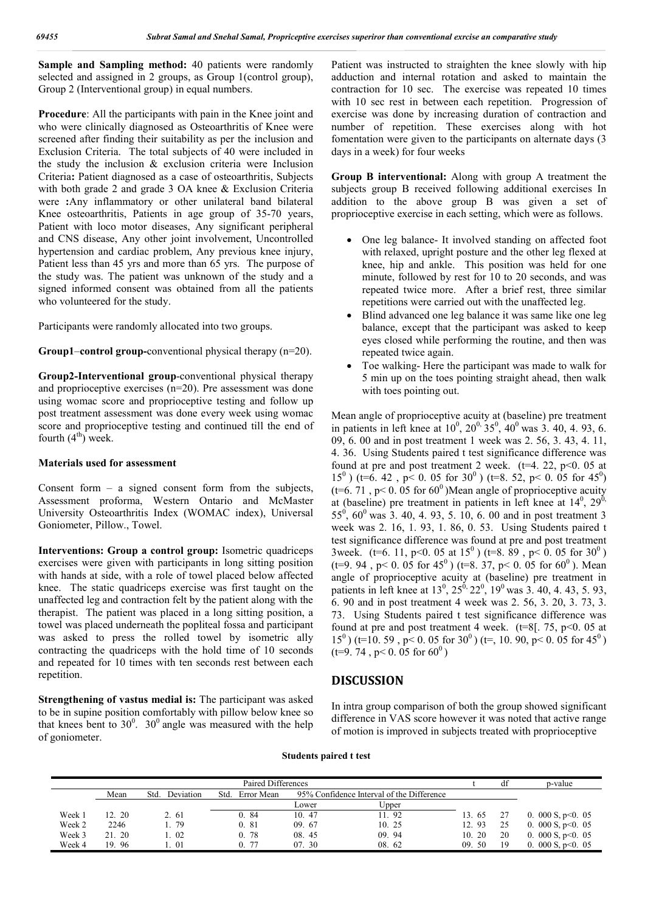**Sample and Sampling method:** 40 patients were randomly selected and assigned in 2 groups, as Group 1(control group), Group 2 (Interventional group) in equal numbers.

**Procedure**: All the participants with pain in the Knee joint and who were clinically diagnosed as Osteoarthritis of Knee were screened after finding their suitability as per the inclusion and Exclusion Criteria. The total subjects of 40 were included in the study the inclusion & exclusion criteria were Inclusion Criteria**:** Patient diagnosed as a case of osteoarthritis, Subjects with both grade 2 and grade 3 OA knee & Exclusion Criteria were **:**Any inflammatory or other unilateral band bilateral Knee osteoarthritis, Patients in age group of 35-70 years, Patient with loco motor diseases, Any significant peripheral and CNS disease, Any other joint involvement, Uncontrolled hypertension and cardiac problem, Any previous knee injury, Patient less than 45 yrs and more than 65 yrs. The purpose of the study was. The patient was unknown of the study and a signed informed consent was obtained from all the patients who volunteered for the study.

Participants were randomly allocated into two groups.

**Group1**–**control group-**conventional physical therapy (n=20).

**Group2-Interventional group**-conventional physical therapy and proprioceptive exercises (n=20). Pre assessment was done using womac score and proprioceptive testing and follow up post treatment assessment was done every week using womac score and proprioceptive testing and continued till the end of fourth  $(4<sup>th</sup>)$  week.

#### **Materials used for assessment**

Consent form  $-$  a signed consent form from the subjects, Assessment proforma, Western Ontario and McMaster University Osteoarthritis Index (WOMAC index), Universal Goniometer, Pillow., Towel.

**Interventions: Group a control group:** Isometric quadriceps exercises were given with participants in long sitting position with hands at side, with a role of towel placed below affected knee. The static quadriceps exercise was first taught on the unaffected leg and contraction felt by the patient along with the therapist. The patient was placed in a long sitting position, a towel was placed underneath the popliteal fossa and participant was asked to press the rolled towel by isometric ally contracting the quadriceps with the hold time of 10 seconds and repeated for 10 times with ten seconds rest between each repetition.

**Strengthening of vastus medial is:** The participant was asked to be in supine position comfortably with pillow below knee so that knees bent to  $30^0$ .  $30^0$  angle was measured with the help of goniometer.

Patient was instructed to straighten the knee slowly with hip adduction and internal rotation and asked to maintain the contraction for 10 sec. The exercise was repeated 10 times with 10 sec rest in between each repetition. Progression of exercise was done by increasing duration of contraction and number of repetition. These exercises along with hot fomentation were given to the participants on alternate days (3 days in a week) for four weeks

**Group B interventional:** Along with group A treatment the subjects group B received following additional exercises In addition to the above group B was given a set of proprioceptive exercise in each setting, which were as follows.

- One leg balance- It involved standing on affected foot with relaxed, upright posture and the other leg flexed at knee, hip and ankle. This position was held for one minute, followed by rest for 10 to 20 seconds, and was repeated twice more. After a brief rest, three similar repetitions were carried out with the unaffected leg.
- Blind advanced one leg balance it was same like one leg balance, except that the participant was asked to keep eyes closed while performing the routine, and then was repeated twice again.
- Toe walking- Here the participant was made to walk for 5 min up on the toes pointing straight ahead, then walk with toes pointing out.

Mean angle of proprioceptive acuity at (baseline) pre treatment in patients in left knee at  $10^0$ ,  $20^0$ ,  $35^0$ ,  $40^0$  was 3. 40, 4. 93, 6. 09, 6. 00 and in post treatment 1 week was 2. 56, 3. 43, 4. 11, 4. 36. Using Students paired t test significance difference was found at pre and post treatment 2 week. ( $t=4$ , 22,  $p<0$ , 05 at 15<sup>0</sup>) (t=6. 42, p< 0. 05 for 30<sup>0</sup>) (t=8. 52, p< 0. 05 for 45<sup>0</sup>) (t=6. 71, p< 0. 05 for  $60^{\circ}$ )Mean angle of proprioceptive acuity at (baseline) pre treatment in patients in left knee at  $14^0$ ,  $29^0$ ,  $55^{\circ}$ ,  $60^{\circ}$  was 3. 40, 4. 93, 5. 10, 6. 00 and in post treatment 3 week was 2. 16, 1. 93, 1. 86, 0. 53. Using Students paired t test significance difference was found at pre and post treatment 3week. (t=6. 11, p<0. 05 at  $15^{\circ}$ ) (t=8. 89, p<0. 05 for  $30^{\circ}$ ) (t=9. 94, p< 0. 05 for 45<sup>0</sup>) (t=8. 37, p< 0. 05 for 60<sup>0</sup>). Mean angle of proprioceptive acuity at (baseline) pre treatment in patients in left knee at  $13^0$ ,  $25^0$ ,  $22^0$ ,  $19^0$  was 3.40, 4.43, 5.93, 6. 90 and in post treatment 4 week was 2. 56, 3. 20, 3. 73, 3. 73. Using Students paired t test significance difference was found at pre and post treatment 4 week. ( $t=8$ [. 75,  $p<0$ . 05 at  $15<sup>0</sup>$  (t=10. 59, p< 0. 05 for 30<sup>0</sup>) (t=, 10. 90, p< 0. 05 for 45<sup>0</sup>)  $(t=9.74, p<0.05$  for  $60^0$ )

#### **DISCUSSION**

In intra group comparison of both the group showed significant difference in VAS score however it was noted that active range of motion is improved in subjects treated with proprioceptive

#### **Students paired t test**

| Paired Differences |        |                   |                   |                                           |             | df        | p-value |                      |
|--------------------|--------|-------------------|-------------------|-------------------------------------------|-------------|-----------|---------|----------------------|
|                    | Mean   | Deviation<br>Std. | Error Mean<br>Std | 95% Confidence Interval of the Difference |             |           |         |                      |
|                    |        |                   |                   | Lower                                     | $\cup$ pper |           |         |                      |
| Week 1             | 12.20  | 2.61              | 0, 84             | 10.47                                     | 1.92        | 13.65     |         | 0. 000 S, $p<0$ . 05 |
| Week 2             | 2246   | - 79              | 0.81              | 09.67                                     | 10.25       | 12.93     | 25      | 0. 000 S, $p<0$ . 05 |
| Week 3             | 21. 20 | 02                | 0, 78             | 08.45                                     | 09.94       | 20<br>10. | 20      | 0. 000 S, $p<0$ . 05 |
| Week 4             | 19.96  | $\sim$ 01         | 0.77              | 07.30                                     | 08.62       | 09.50     | 19      | 0. 000 S, $p<0$ . 05 |